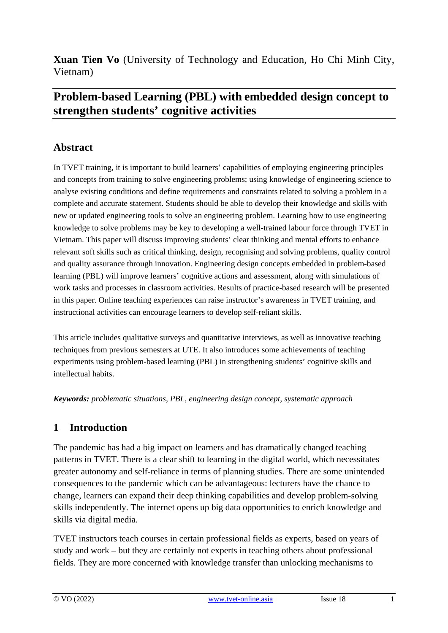**Xuan Tien Vo** (University of Technology and Education, Ho Chi Minh City, Vietnam)

# **Problem-based Learning (PBL) with embedded design concept to strengthen students' cognitive activities**

## **Abstract**

In TVET training, it is important to build learners' capabilities of employing engineering principles and concepts from training to solve engineering problems; using knowledge of engineering science to analyse existing conditions and define requirements and constraints related to solving a problem in a complete and accurate statement. Students should be able to develop their knowledge and skills with new or updated engineering tools to solve an engineering problem. Learning how to use engineering knowledge to solve problems may be key to developing a well-trained labour force through TVET in Vietnam. This paper will discuss improving students' clear thinking and mental efforts to enhance relevant soft skills such as critical thinking, design, recognising and solving problems, quality control and quality assurance through innovation. Engineering design concepts embedded in problem-based learning (PBL) will improve learners' cognitive actions and assessment, along with simulations of work tasks and processes in classroom activities. Results of practice-based research will be presented in this paper. Online teaching experiences can raise instructor's awareness in TVET training, and instructional activities can encourage learners to develop self-reliant skills.

This article includes qualitative surveys and quantitative interviews, as well as innovative teaching techniques from previous semesters at UTE. It also introduces some achievements of teaching experiments using problem-based learning (PBL) in strengthening students' cognitive skills and intellectual habits.

*Keywords: problematic situations, PBL, engineering design concept, systematic approach*

### **1 Introduction**

The pandemic has had a big impact on learners and has dramatically changed teaching patterns in TVET. There is a clear shift to learning in the digital world, which necessitates greater autonomy and self-reliance in terms of planning studies. There are some unintended consequences to the pandemic which can be advantageous: lecturers have the chance to change, learners can expand their deep thinking capabilities and develop problem-solving skills independently. The internet opens up big data opportunities to enrich knowledge and skills via digital media.

TVET instructors teach courses in certain professional fields as experts, based on years of study and work – but they are certainly not experts in teaching others about professional fields. They are more concerned with knowledge transfer than unlocking mechanisms to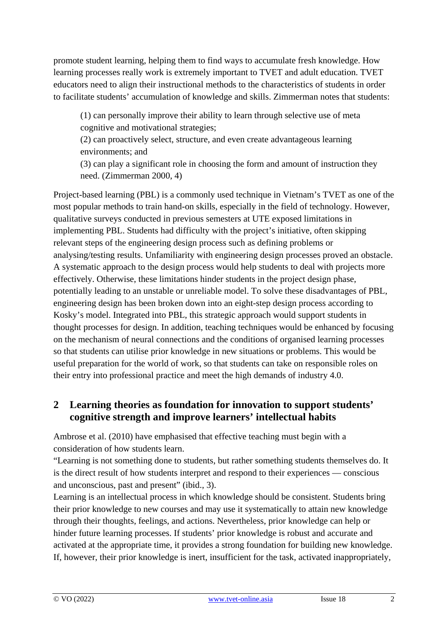promote student learning, helping them to find ways to accumulate fresh knowledge. How learning processes really work is extremely important to TVET and adult education. TVET educators need to align their instructional methods to the characteristics of students in order to facilitate students' accumulation of knowledge and skills. Zimmerman notes that students:

(1) can personally improve their ability to learn through selective use of meta cognitive and motivational strategies;

(2) can proactively select, structure, and even create advantageous learning environments; and

(3) can play a significant role in choosing the form and amount of instruction they need. (Zimmerman 2000, 4)

Project-based learning (PBL) is a commonly used technique in Vietnam's TVET as one of the most popular methods to train hand-on skills, especially in the field of technology. However, qualitative surveys conducted in previous semesters at UTE exposed limitations in implementing PBL. Students had difficulty with the project's initiative, often skipping relevant steps of the engineering design process such as defining problems or analysing/testing results. Unfamiliarity with engineering design processes proved an obstacle. A systematic approach to the design process would help students to deal with projects more effectively. Otherwise, these limitations hinder students in the project design phase, potentially leading to an unstable or unreliable model. To solve these disadvantages of PBL, engineering design has been broken down into an eight-step design process according to Kosky's model. Integrated into PBL, this strategic approach would support students in thought processes for design. In addition, teaching techniques would be enhanced by focusing on the mechanism of neural connections and the conditions of organised learning processes so that students can utilise prior knowledge in new situations or problems. This would be useful preparation for the world of work, so that students can take on responsible roles on their entry into professional practice and meet the high demands of industry 4.0.

### **2 Learning theories as foundation for innovation to support students' cognitive strength and improve learners' intellectual habits**

Ambrose et al. (2010) have emphasised that effective teaching must begin with a consideration of how students learn.

"Learning is not something done to students, but rather something students themselves do. It is the direct result of how students interpret and respond to their experiences — conscious and unconscious, past and present" (ibid., 3).

Learning is an intellectual process in which knowledge should be consistent. Students bring their prior knowledge to new courses and may use it systematically to attain new knowledge through their thoughts, feelings, and actions. Nevertheless, prior knowledge can help or hinder future learning processes. If students' prior knowledge is robust and accurate and activated at the appropriate time, it provides a strong foundation for building new knowledge. If, however, their prior knowledge is inert, insufficient for the task, activated inappropriately,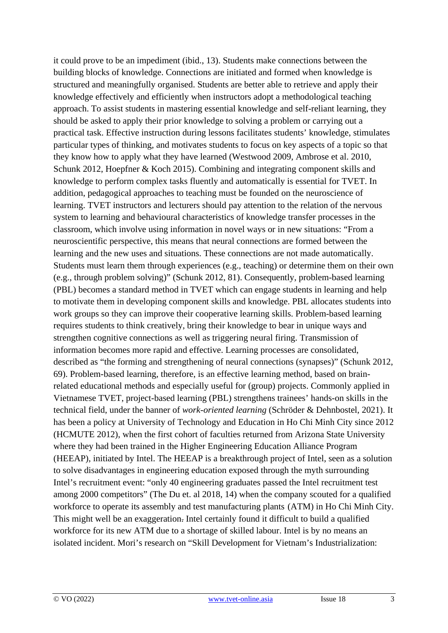it could prove to be an impediment (ibid., 13). Students make connections between the building blocks of knowledge. Connections are initiated and formed when knowledge is structured and meaningfully organised. Students are better able to retrieve and apply their knowledge effectively and efficiently when instructors adopt a methodological teaching approach. To assist students in mastering essential knowledge and self-reliant learning, they should be asked to apply their prior knowledge to solving a problem or carrying out a practical task. Effective instruction during lessons facilitates students' knowledge, stimulates particular types of thinking, and motivates students to focus on key aspects of a topic so that they know how to apply what they have learned (Westwood 2009, Ambrose et al. 2010, Schunk 2012, Hoepfner & Koch 2015). Combining and integrating component skills and knowledge to perform complex tasks fluently and automatically is essential for TVET. In addition, pedagogical approaches to teaching must be founded on the neuroscience of learning. TVET instructors and lecturers should pay attention to the relation of the nervous system to learning and behavioural characteristics of knowledge transfer processes in the classroom, which involve using information in novel ways or in new situations: "From a neuroscientific perspective, this means that neural connections are formed between the learning and the new uses and situations. These connections are not made automatically. Students must learn them through experiences (e.g., teaching) or determine them on their own (e.g., through problem solving)" (Schunk 2012, 81). Consequently, problem-based learning (PBL) becomes a standard method in TVET which can engage students in learning and help to motivate them in developing component skills and knowledge. PBL allocates students into work groups so they can improve their cooperative learning skills. Problem-based learning requires students to think creatively, bring their knowledge to bear in unique ways and strengthen cognitive connections as well as triggering neural firing. Transmission of information becomes more rapid and effective. Learning processes are consolidated, described as "the forming and strengthening of neural connections (synapses)" (Schunk 2012, 69). Problem-based learning, therefore, is an effective learning method, based on brainrelated educational methods and especially useful for (group) projects. Commonly applied in Vietnamese TVET, project-based learning (PBL) strengthens trainees' hands-on skills in the technical field, under the banner of *work-oriented learning* (Schröder & Dehnbostel, 2021). It has been a policy at University of Technology and Education in Ho Chi Minh City since 2012 (HCMUTE 2012), when the first cohort of faculties returned from Arizona State University where they had been trained in the Higher Engineering Education Alliance Program (HEEAP), initiated by Intel. The HEEAP is a breakthrough project of Intel, seen as a solution to solve disadvantages in engineering education exposed through the myth surrounding Intel's recruitment event: "only 40 engineering graduates passed the Intel recruitment test among 2000 competitors" (The Du et. al 2018, 14) when the company scouted for a qualified workforce to operate its assembly and test manufacturing plants (ATM) in Ho Chi Minh City. This might well be an exaggeration. Intel certainly found it difficult to build a qualified workforce for its new ATM due to a shortage of skilled labour. Intel is by no means an isolated incident. Mori's research on "Skill Development for Vietnam's Industrialization: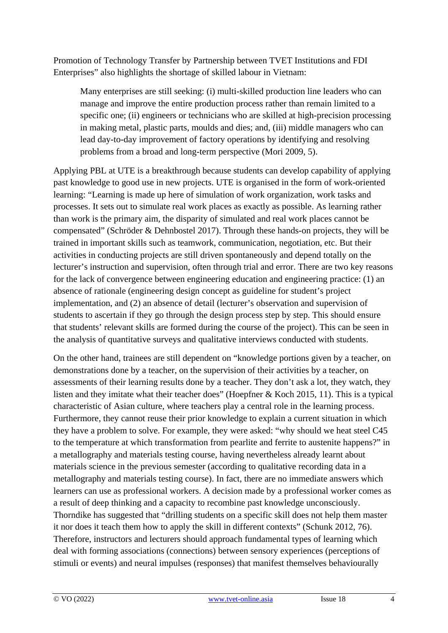Promotion of Technology Transfer by Partnership between TVET Institutions and FDI Enterprises" also highlights the shortage of skilled labour in Vietnam:

Many enterprises are still seeking: (i) multi-skilled production line leaders who can manage and improve the entire production process rather than remain limited to a specific one; (ii) engineers or technicians who are skilled at high-precision processing in making metal, plastic parts, moulds and dies; and, (iii) middle managers who can lead day-to-day improvement of factory operations by identifying and resolving problems from a broad and long-term perspective (Mori 2009, 5).

Applying PBL at UTE is a breakthrough because students can develop capability of applying past knowledge to good use in new projects. UTE is organised in the form of work-oriented learning: "Learning is made up here of simulation of work organization, work tasks and processes. It sets out to simulate real work places as exactly as possible. As learning rather than work is the primary aim, the disparity of simulated and real work places cannot be compensated" (Schröder & Dehnbostel 2017). Through these hands-on projects, they will be trained in important skills such as teamwork, communication, negotiation, etc. But their activities in conducting projects are still driven spontaneously and depend totally on the lecturer's instruction and supervision, often through trial and error. There are two key reasons for the lack of convergence between engineering education and engineering practice: (1) an absence of rationale (engineering design concept as guideline for student's project implementation, and (2) an absence of detail (lecturer's observation and supervision of students to ascertain if they go through the design process step by step. This should ensure that students' relevant skills are formed during the course of the project). This can be seen in the analysis of quantitative surveys and qualitative interviews conducted with students.

On the other hand, trainees are still dependent on "knowledge portions given by a teacher, on demonstrations done by a teacher, on the supervision of their activities by a teacher, on assessments of their learning results done by a teacher. They don't ask a lot, they watch, they listen and they imitate what their teacher does" (Hoepfner & Koch 2015, 11). This is a typical characteristic of Asian culture, where teachers play a central role in the learning process. Furthermore, they cannot reuse their prior knowledge to explain a current situation in which they have a problem to solve. For example, they were asked: "why should we heat steel C45 to the temperature at which transformation from pearlite and ferrite to austenite happens?" in a metallography and materials testing course, having nevertheless already learnt about materials science in the previous semester (according to qualitative recording data in a metallography and materials testing course). In fact, there are no immediate answers which learners can use as professional workers. A decision made by a professional worker comes as a result of deep thinking and a capacity to recombine past knowledge unconsciously. Thorndike has suggested that "drilling students on a specific skill does not help them master it nor does it teach them how to apply the skill in different contexts" (Schunk 2012, 76). Therefore, instructors and lecturers should approach fundamental types of learning which deal with forming associations (connections) between sensory experiences (perceptions of stimuli or events) and neural impulses (responses) that manifest themselves behaviourally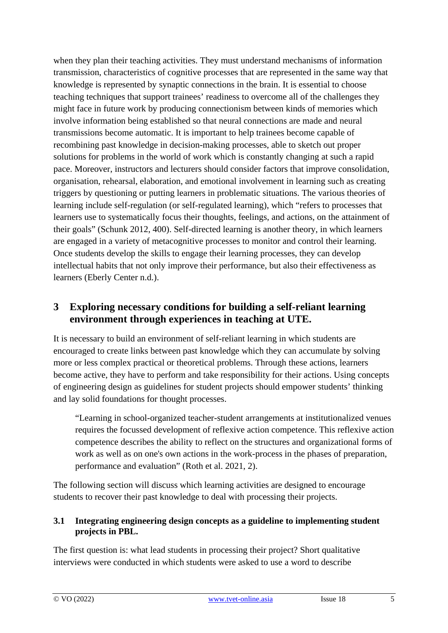when they plan their teaching activities. They must understand mechanisms of information transmission, characteristics of cognitive processes that are represented in the same way that knowledge is represented by synaptic connections in the brain. It is essential to choose teaching techniques that support trainees' readiness to overcome all of the challenges they might face in future work by producing connectionism between kinds of memories which involve information being established so that neural connections are made and neural transmissions become automatic. It is important to help trainees become capable of recombining past knowledge in decision-making processes, able to sketch out proper solutions for problems in the world of work which is constantly changing at such a rapid pace. Moreover, instructors and lecturers should consider factors that improve consolidation, organisation, rehearsal, elaboration, and emotional involvement in learning such as creating triggers by questioning or putting learners in problematic situations. The various theories of learning include self-regulation (or self-regulated learning), which "refers to processes that learners use to systematically focus their thoughts, feelings, and actions, on the attainment of their goals" (Schunk 2012, 400). Self-directed learning is another theory, in which learners are engaged in a variety of metacognitive processes to monitor and control their learning. Once students develop the skills to engage their learning processes, they can develop intellectual habits that not only improve their performance, but also their effectiveness as learners (Eberly Center n.d.).

## **3 Exploring necessary conditions for building a self-reliant learning environment through experiences in teaching at UTE.**

It is necessary to build an environment of self-reliant learning in which students are encouraged to create links between past knowledge which they can accumulate by solving more or less complex practical or theoretical problems. Through these actions, learners become active, they have to perform and take responsibility for their actions. Using concepts of engineering design as guidelines for student projects should empower students' thinking and lay solid foundations for thought processes.

"Learning in school-organized teacher-student arrangements at institutionalized venues requires the focussed development of reflexive action competence. This reflexive action competence describes the ability to reflect on the structures and organizational forms of work as well as on one's own actions in the work-process in the phases of preparation, performance and evaluation" (Roth et al. 2021, 2).

The following section will discuss which learning activities are designed to encourage students to recover their past knowledge to deal with processing their projects.

### **3.1 Integrating engineering design concepts as a guideline to implementing student projects in PBL.**

The first question is: what lead students in processing their project? Short qualitative interviews were conducted in which students were asked to use a word to describe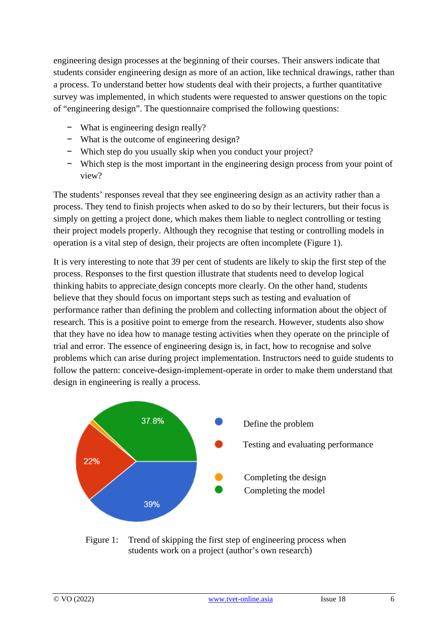engineering design processes at the beginning of their courses. Their answers indicate that students consider engineering design as more of an action, like technical drawings, rather than a process. To understand better how students deal with their projects, a further quantitative survey was implemented, in which students were requested to answer questions on the topic of "engineering design". The questionnaire comprised the following questions:

- − What is engineering design really?
- − What is the outcome of engineering design?
- − Which step do you usually skip when you conduct your project?
- − Which step is the most important in the engineering design process from your point of view?

The students' responses reveal that they see engineering design as an activity rather than a process. They tend to finish projects when asked to do so by their lecturers, but their focus is simply on getting a project done, which makes them liable to neglect controlling or testing their project models properly. Although they recognise that testing or controlling models in operation is a vital step of design, their projects are often incomplete (Figure 1).

It is very interesting to note that 39 per cent of students are likely to skip the first step of the process. Responses to the first question illustrate that students need to develop logical thinking habits to appreciate design concepts more clearly. On the other hand, students believe that they should focus on important steps such as testing and evaluation of performance rather than defining the problem and collecting information about the object of research. This is a positive point to emerge from the research. However, students also show that they have no idea how to manage testing activities when they operate on the principle of trial and error. The essence of engineering design is, in fact, how to recognise and solve problems which can arise during project implementation. Instructors need to guide students to follow the pattern: conceive-design-implement-operate in order to make them understand that design in engineering is really a process.



Figure 1: Trend of skipping the first step of engineering process when students work on a project (author's own research)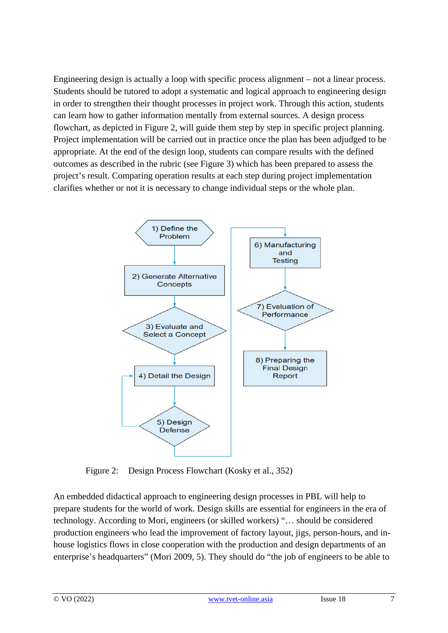Engineering design is actually a loop with specific process alignment – not a linear process. Students should be tutored to adopt a systematic and logical approach to engineering design in order to strengthen their thought processes in project work. Through this action, students can learn how to gather information mentally from external sources. A design process flowchart, as depicted in Figure 2, will guide them step by step in specific project planning. Project implementation will be carried out in practice once the plan has been adjudged to be appropriate. At the end of the design loop, students can compare results with the defined outcomes as described in the rubric (see Figure 3) which has been prepared to assess the project's result. Comparing operation results at each step during project implementation clarifies whether or not it is necessary to change individual steps or the whole plan.



Figure 2: Design Process Flowchart (Kosky et al., 352)

An embedded didactical approach to engineering design processes in PBL will help to prepare students for the world of work. Design skills are essential for engineers in the era of technology. According to Mori, engineers (or skilled workers) "… should be considered production engineers who lead the improvement of factory layout, jigs, person-hours, and inhouse logistics flows in close cooperation with the production and design departments of an enterprise's headquarters" (Mori 2009, 5). They should do "the job of engineers to be able to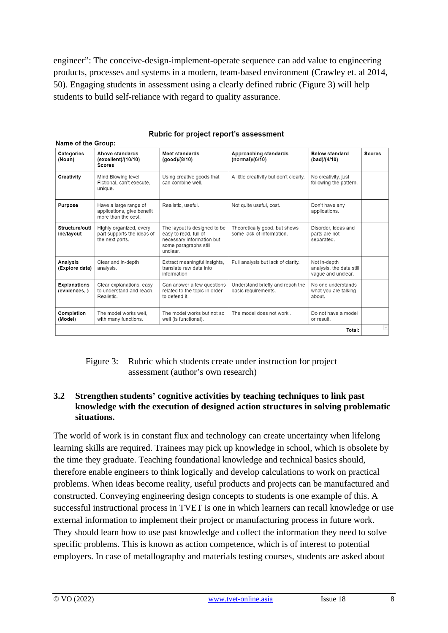engineer": The conceive-design-implement-operate sequence can add value to engineering products, processes and systems in a modern, team-based environment (Crawley et. al 2014, 50). Engaging students in assessment using a clearly defined rubric (Figure 3) will help students to build self-reliance with regard to quality assurance.

| Categories<br>(Noun)                | Above standards<br>(excellent)/(10/10)<br><b>Scores</b>                    | <b>Meet standards</b><br>(good)/(8/10)                                                                                  | Approaching standards<br>(normal)/(6/10)                   | <b>Below standard</b><br>(bad)/(4/10)                          | <b>Scores</b> |
|-------------------------------------|----------------------------------------------------------------------------|-------------------------------------------------------------------------------------------------------------------------|------------------------------------------------------------|----------------------------------------------------------------|---------------|
| Creativity                          | Mind Blowing level<br>Fictional, can't execute,<br>unique.                 | Using creative goods that<br>can combine well.                                                                          | A little creativity but don't clearly.                     | No creativity, just<br>following the pattern.                  |               |
| Purpose                             | Have a large range of<br>applications, give benefit<br>more than the cost. | Realistic, useful.                                                                                                      | Not quite useful, cost.                                    | Don't have any<br>applications.                                |               |
| Structure/outl<br>ine/layout        | Highly organized, every<br>part supports the ideas of<br>the next parts.   | The layout is designed to be<br>easy to read, full of<br>necessary information but<br>some paragraphs still<br>unclear. | Theoretically good, but shows<br>some lack of information. | Disorder, ideas and<br>parts are not<br>separated.             |               |
| Analysis<br>(Explore data)          | Clear and in-depth<br>analysis.                                            | Extract meaningful insights,<br>translate raw data into<br>information                                                  | Full analysis but lack of clarity.                         | Not in-depth<br>analysis, the data still<br>vaque and unclear. |               |
| <b>Explanations</b><br>(evidences,) | Clear explanations, easy<br>to understand and reach.<br>Realistic.         | Can answer a few questions<br>related to the topic in order<br>to defend it.                                            | Understand briefly and reach the<br>basic requirements.    | No one understands<br>what you are talking<br>about.           |               |
| Completion<br>(Model)               | The model works well.<br>with many functions.                              | The model works but not so<br>well (is functional).                                                                     | The model does not work.                                   | Do not have a model<br>or result.                              |               |
| Total:                              |                                                                            |                                                                                                                         |                                                            |                                                                |               |

#### Rubric for project report's assessment

#### Figure 3: Rubric which students create under instruction for project assessment (author's own research)

#### **3.2 Strengthen students' cognitive activities by teaching techniques to link past knowledge with the execution of designed action structures in solving problematic situations.**

The world of work is in constant flux and technology can create uncertainty when lifelong learning skills are required. Trainees may pick up knowledge in school, which is obsolete by the time they graduate. Teaching foundational knowledge and technical basics should, therefore enable engineers to think logically and develop calculations to work on practical problems. When ideas become reality, useful products and projects can be manufactured and constructed. Conveying engineering design concepts to students is one example of this. A successful instructional process in TVET is one in which learners can recall knowledge or use external information to implement their project or manufacturing process in future work. They should learn how to use past knowledge and collect the information they need to solve specific problems. This is known as action competence, which is of interest to potential employers. In case of metallography and materials testing courses, students are asked about

 $\sim$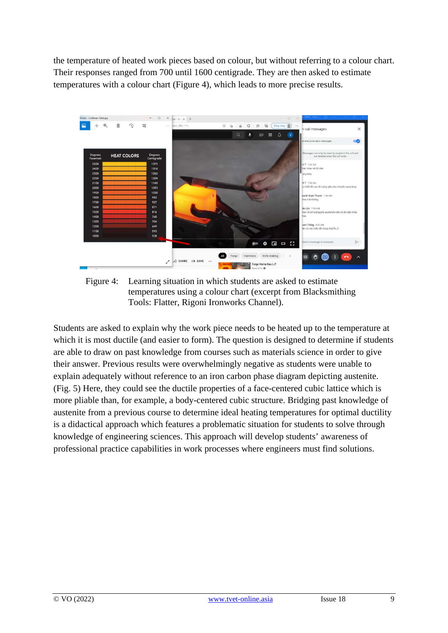the temperature of heated work pieces based on colour, but without referring to a colour chart. Their responses ranged from 700 until 1600 centigrade. They are then asked to estimate temperatures with a colour chart (Figure 4), which leads to more precise results.



Figure 4: Learning situation in which students are asked to estimate temperatures using a colour chart (excerpt from Blacksmithing Tools: Flatter, Rigoni Ironworks Channel).

Students are asked to explain why the work piece needs to be heated up to the temperature at which it is most ductile (and easier to form). The question is designed to determine if students are able to draw on past knowledge from courses such as materials science in order to give their answer. Previous results were overwhelmingly negative as students were unable to explain adequately without reference to an iron carbon phase diagram depicting austenite. (Fig. 5) Here, they could see the ductile properties of a face-centered cubic lattice which is more pliable than, for example, a body-centered cubic structure. Bridging past knowledge of austenite from a previous course to determine ideal heating temperatures for optimal ductility is a didactical approach which features a problematic situation for students to solve through knowledge of engineering sciences. This approach will develop students' awareness of professional practice capabilities in work processes where engineers must find solutions.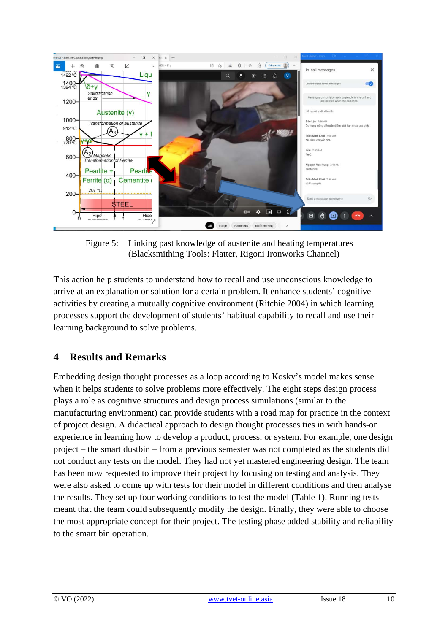

Figure 5: Linking past knowledge of austenite and heating temperatures (Blacksmithing Tools: Flatter, Rigoni Ironworks Channel)

This action help students to understand how to recall and use unconscious knowledge to arrive at an explanation or solution for a certain problem. It enhance students' cognitive activities by creating a mutually cognitive environment (Ritchie 2004) in which learning processes support the development of students' habitual capability to recall and use their learning background to solve problems.

## **4 Results and Remarks**

Embedding design thought processes as a loop according to Kosky's model makes sense when it helps students to solve problems more effectively. The eight steps design process plays a role as cognitive structures and design process simulations (similar to the manufacturing environment) can provide students with a road map for practice in the context of project design. A didactical approach to design thought processes ties in with hands-on experience in learning how to develop a product, process, or system. For example, one design project – the smart dustbin – from a previous semester was not completed as the students did not conduct any tests on the model. They had not yet mastered engineering design. The team has been now requested to improve their project by focusing on testing and analysis. They were also asked to come up with tests for their model in different conditions and then analyse the results. They set up four working conditions to test the model (Table 1). Running tests meant that the team could subsequently modify the design. Finally, they were able to choose the most appropriate concept for their project. The testing phase added stability and reliability to the smart bin operation.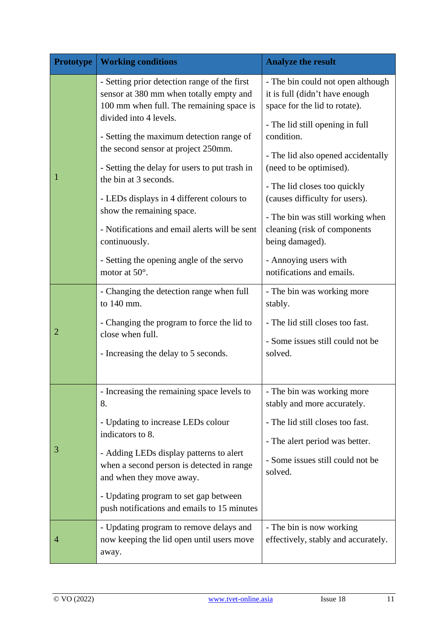| <b>Prototype</b> | <b>Working conditions</b>                                                                                                                                                                                                                                                                                                                                                                    | <b>Analyze the result</b>                                                                                                                                                                                                                                                                                                     |  |
|------------------|----------------------------------------------------------------------------------------------------------------------------------------------------------------------------------------------------------------------------------------------------------------------------------------------------------------------------------------------------------------------------------------------|-------------------------------------------------------------------------------------------------------------------------------------------------------------------------------------------------------------------------------------------------------------------------------------------------------------------------------|--|
|                  | - Setting prior detection range of the first<br>sensor at 380 mm when totally empty and<br>100 mm when full. The remaining space is                                                                                                                                                                                                                                                          | - The bin could not open although<br>it is full (didn't have enough<br>space for the lid to rotate).                                                                                                                                                                                                                          |  |
|                  | divided into 4 levels.<br>- Setting the maximum detection range of<br>the second sensor at project 250mm.<br>- Setting the delay for users to put trash in<br>the bin at 3 seconds.<br>- LEDs displays in 4 different colours to<br>show the remaining space.<br>- Notifications and email alerts will be sent<br>continuously.<br>- Setting the opening angle of the servo<br>motor at 50°. | - The lid still opening in full<br>condition.<br>- The lid also opened accidentally<br>(need to be optimised).<br>- The lid closes too quickly<br>(causes difficulty for users).<br>- The bin was still working when<br>cleaning (risk of components<br>being damaged).<br>- Annoying users with<br>notifications and emails. |  |
| 2                | - Changing the detection range when full<br>to 140 mm.<br>- Changing the program to force the lid to<br>close when full.<br>- Increasing the delay to 5 seconds.                                                                                                                                                                                                                             | - The bin was working more<br>stably.<br>- The lid still closes too fast.<br>- Some issues still could not be<br>solved.                                                                                                                                                                                                      |  |
| 3                | - Increasing the remaining space levels to<br>8.<br>- Updating to increase LEDs colour<br>indicators to 8.<br>- Adding LEDs display patterns to alert<br>when a second person is detected in range<br>and when they move away.<br>- Updating program to set gap between<br>push notifications and emails to 15 minutes                                                                       | - The bin was working more<br>stably and more accurately.<br>- The lid still closes too fast.<br>- The alert period was better.<br>- Some issues still could not be<br>solved.                                                                                                                                                |  |
| 4                | - Updating program to remove delays and<br>now keeping the lid open until users move<br>away.                                                                                                                                                                                                                                                                                                | - The bin is now working<br>effectively, stably and accurately.                                                                                                                                                                                                                                                               |  |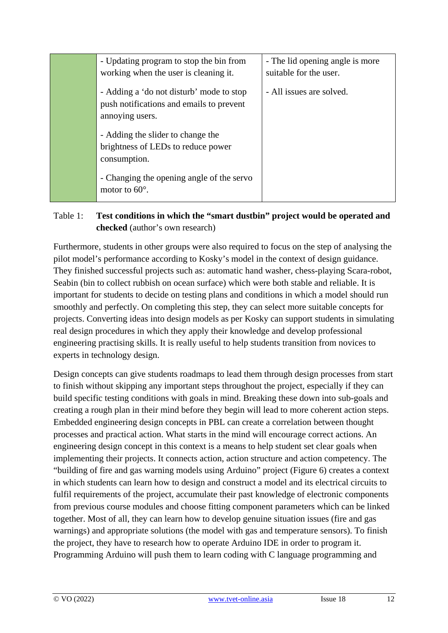| - Updating program to stop the bin from<br>working when the user is cleaning it.                        | - The lid opening angle is more<br>suitable for the user. |
|---------------------------------------------------------------------------------------------------------|-----------------------------------------------------------|
| - Adding a 'do not disturb' mode to stop<br>push notifications and emails to prevent<br>annoying users. | - All issues are solved.                                  |
| - Adding the slider to change the<br>brightness of LEDs to reduce power<br>consumption.                 |                                                           |
| - Changing the opening angle of the servo<br>motor to $60^\circ$ .                                      |                                                           |

### Table 1: **Test conditions in which the "smart dustbin" project would be operated and checked** (author's own research)

Furthermore, students in other groups were also required to focus on the step of analysing the pilot model's performance according to Kosky's model in the context of design guidance. They finished successful projects such as: automatic hand washer, chess-playing Scara-robot, Seabin (bin to collect rubbish on ocean surface) which were both stable and reliable. It is important for students to decide on testing plans and conditions in which a model should run smoothly and perfectly. On completing this step, they can select more suitable concepts for projects. Converting ideas into design models as per Kosky can support students in simulating real design procedures in which they apply their knowledge and develop professional engineering practising skills. It is really useful to help students transition from novices to experts in technology design.

Design concepts can give students roadmaps to lead them through design processes from start to finish without skipping any important steps throughout the project, especially if they can build specific testing conditions with goals in mind. Breaking these down into sub-goals and creating a rough plan in their mind before they begin will lead to more coherent action steps. Embedded engineering design concepts in PBL can create a correlation between thought processes and practical action. What starts in the mind will encourage correct actions. An engineering design concept in this context is a means to help student set clear goals when implementing their projects. It connects action, action structure and action competency. The "building of fire and gas warning models using Arduino" project (Figure 6) creates a context in which students can learn how to design and construct a model and its electrical circuits to fulfil requirements of the project, accumulate their past knowledge of electronic components from previous course modules and choose fitting component parameters which can be linked together. Most of all, they can learn how to develop genuine situation issues (fire and gas warnings) and appropriate solutions (the model with gas and temperature sensors). To finish the project, they have to research how to operate Arduino IDE in order to program it. Programming Arduino will push them to learn coding with C language programming and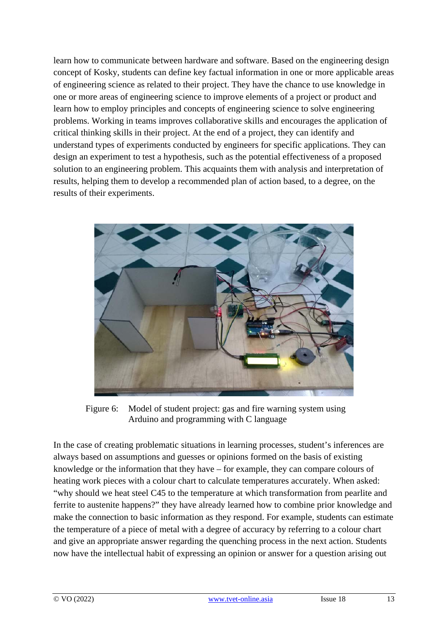learn how to communicate between hardware and software. Based on the engineering design concept of Kosky, students can define key factual information in one or more applicable areas of engineering science as related to their project. They have the chance to use knowledge in one or more areas of engineering science to improve elements of a project or product and learn how to employ principles and concepts of engineering science to solve engineering problems. Working in teams improves collaborative skills and encourages the application of critical thinking skills in their project. At the end of a project, they can identify and understand types of experiments conducted by engineers for specific applications. They can design an experiment to test a hypothesis, such as the potential effectiveness of a proposed solution to an engineering problem. This acquaints them with analysis and interpretation of results, helping them to develop a recommended plan of action based, to a degree, on the results of their experiments.



Figure 6: Model of student project: gas and fire warning system using Arduino and programming with C language

In the case of creating problematic situations in learning processes, student's inferences are always based on assumptions and guesses or opinions formed on the basis of existing knowledge or the information that they have – for example, they can compare colours of heating work pieces with a colour chart to calculate temperatures accurately. When asked: "why should we heat steel C45 to the temperature at which transformation from pearlite and ferrite to austenite happens?" they have already learned how to combine prior knowledge and make the connection to basic information as they respond. For example, students can estimate the temperature of a piece of metal with a degree of accuracy by referring to a colour chart and give an appropriate answer regarding the quenching process in the next action. Students now have the intellectual habit of expressing an opinion or answer for a question arising out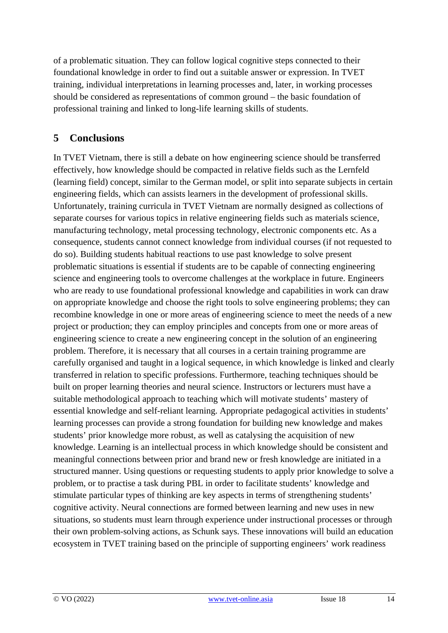of a problematic situation. They can follow logical cognitive steps connected to their foundational knowledge in order to find out a suitable answer or expression. In TVET training, individual interpretations in learning processes and, later, in working processes should be considered as representations of common ground – the basic foundation of professional training and linked to long-life learning skills of students.

### **5 Conclusions**

In TVET Vietnam, there is still a debate on how engineering science should be transferred effectively, how knowledge should be compacted in relative fields such as the Lernfeld (learning field) concept, similar to the German model, or split into separate subjects in certain engineering fields, which can assists learners in the development of professional skills. Unfortunately, training curricula in TVET Vietnam are normally designed as collections of separate courses for various topics in relative engineering fields such as materials science, manufacturing technology, metal processing technology, electronic components etc. As a consequence, students cannot connect knowledge from individual courses (if not requested to do so). Building students habitual reactions to use past knowledge to solve present problematic situations is essential if students are to be capable of connecting engineering science and engineering tools to overcome challenges at the workplace in future. Engineers who are ready to use foundational professional knowledge and capabilities in work can draw on appropriate knowledge and choose the right tools to solve engineering problems; they can recombine knowledge in one or more areas of engineering science to meet the needs of a new project or production; they can employ principles and concepts from one or more areas of engineering science to create a new engineering concept in the solution of an engineering problem. Therefore, it is necessary that all courses in a certain training programme are carefully organised and taught in a logical sequence, in which knowledge is linked and clearly transferred in relation to specific professions. Furthermore, teaching techniques should be built on proper learning theories and neural science. Instructors or lecturers must have a suitable methodological approach to teaching which will motivate students' mastery of essential knowledge and self-reliant learning. Appropriate pedagogical activities in students' learning processes can provide a strong foundation for building new knowledge and makes students' prior knowledge more robust, as well as catalysing the acquisition of new knowledge. Learning is an intellectual process in which knowledge should be consistent and meaningful connections between prior and brand new or fresh knowledge are initiated in a structured manner. Using questions or requesting students to apply prior knowledge to solve a problem, or to practise a task during PBL in order to facilitate students' knowledge and stimulate particular types of thinking are key aspects in terms of strengthening students' cognitive activity. Neural connections are formed between learning and new uses in new situations, so students must learn through experience under instructional processes or through their own problem-solving actions, as Schunk says. These innovations will build an education ecosystem in TVET training based on the principle of supporting engineers' work readiness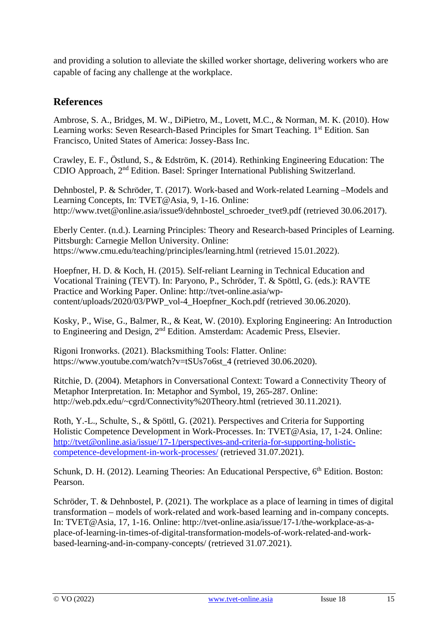and providing a solution to alleviate the skilled worker shortage, delivering workers who are capable of facing any challenge at the workplace.

### **References**

Ambrose, S. A., Bridges, M. W., DiPietro, M., Lovett, M.C., & Norman, M. K. (2010). How Learning works: Seven Research-Based Principles for Smart Teaching. 1<sup>st</sup> Edition. San Francisco, United States of America: Jossey-Bass Inc.

Crawley, E. F., Östlund, S., & Edström, K. (2014). Rethinking Engineering Education: The CDIO Approach, 2nd Edition. Basel: Springer International Publishing Switzerland.

Dehnbostel, P. & Schröder, T. (2017). Work-based and Work-related Learning –Models and Learning Concepts, In: TVET@Asia, 9, 1-16. Online: [http://www.tvet@online.asia/issue9/dehnbostel\\_schroeder\\_tvet9.pdf](http://www.tvet@online.asia/issue9/dehnbostel_schroeder_tvet9.pdf) (retrieved 30.06.2017).

Eberly Center. (n.d.). Learning Principles: Theory and Research-based Principles of Learning. Pittsburgh: Carnegie Mellon University. Online: <https://www.cmu.edu/teaching/principles/learning.html> (retrieved 15.01.2022).

Hoepfner, H. D. & Koch, H. (2015). Self-reliant Learning in Technical Education and Vocational Training (TEVT). In: Paryono, P., Schröder, T. & Spöttl, G. (eds.): RAVTE Practice and Working Paper. Online: [http://tvet-online.asia/wp](http://tvet-online.asia/wp-content/uploads/2020/03/PWP_vol-4_Hoepfner_Koch.pdf)[content/uploads/2020/03/PWP\\_vol-4\\_Hoepfner\\_Koch.pdf](http://tvet-online.asia/wp-content/uploads/2020/03/PWP_vol-4_Hoepfner_Koch.pdf) (retrieved 30.06.2020).

Kosky, P., Wise, G., Balmer, R., & Keat, W. (2010). Exploring Engineering: An Introduction to Engineering and Design, 2nd Edition. Amsterdam: Academic Press, Elsevier.

Rigoni Ironworks. (2021). Blacksmithing Tools: Flatter. Online: [https://www.youtube.com/watch?v=tSUs7o6st\\_4](https://www.youtube.com/watch?v=tSUs7o6st_4) (retrieved 30.06.2020).

Ritchie, D. (2004). Metaphors in Conversational Context: Toward a Connectivity Theory of Metaphor Interpretation. In: Metaphor and Symbol, 19, 265-287. Online: [http://web.pdx.edu/~cgrd/Connectivity%20Theory.html](http://web.pdx.edu/%7Ecgrd/Connectivity%20Theory.html) (retrieved 30.11.2021).

Roth, Y.-L., Schulte, S., & Spöttl, G. (2021). Perspectives and Criteria for Supporting Holistic Competence Development in Work-Processes. In: TVET@Asia, 17, 1-24. Online: [http://tvet@online.asia/issue/17-1/perspectives-and-criteria-for-supporting-holistic](http://tvet@online.asia/issue/17-1/perspectives-and-criteria-for-supporting-holistic-competence-development-in-work-processes/)[competence-development-in-work-processes/](http://tvet@online.asia/issue/17-1/perspectives-and-criteria-for-supporting-holistic-competence-development-in-work-processes/) (retrieved 31.07.2021).

Schunk, D. H. (2012). Learning Theories: An Educational Perspective, 6<sup>th</sup> Edition. Boston: Pearson.

Schröder, T. & Dehnbostel, P. (2021). The workplace as a place of learning in times of digital transformation – models of work-related and work-based learning and in-company concepts. In: TVET@Asia, 17, 1-16. Online: [http://tvet-online.asia/issue/17-1/the-workplace-as-a](http://tvet-online.asia/issue/17-1/the-workplace-as-a-place-of-learning-in-times-of-digital-transformation-models-of-work-related-and-work-based-learning-and-in-company-concepts/)[place-of-learning-in-times-of-digital-transformation-models-of-work-related-and-work](http://tvet-online.asia/issue/17-1/the-workplace-as-a-place-of-learning-in-times-of-digital-transformation-models-of-work-related-and-work-based-learning-and-in-company-concepts/)[based-learning-and-in-company-concepts/](http://tvet-online.asia/issue/17-1/the-workplace-as-a-place-of-learning-in-times-of-digital-transformation-models-of-work-related-and-work-based-learning-and-in-company-concepts/) (retrieved 31.07.2021).